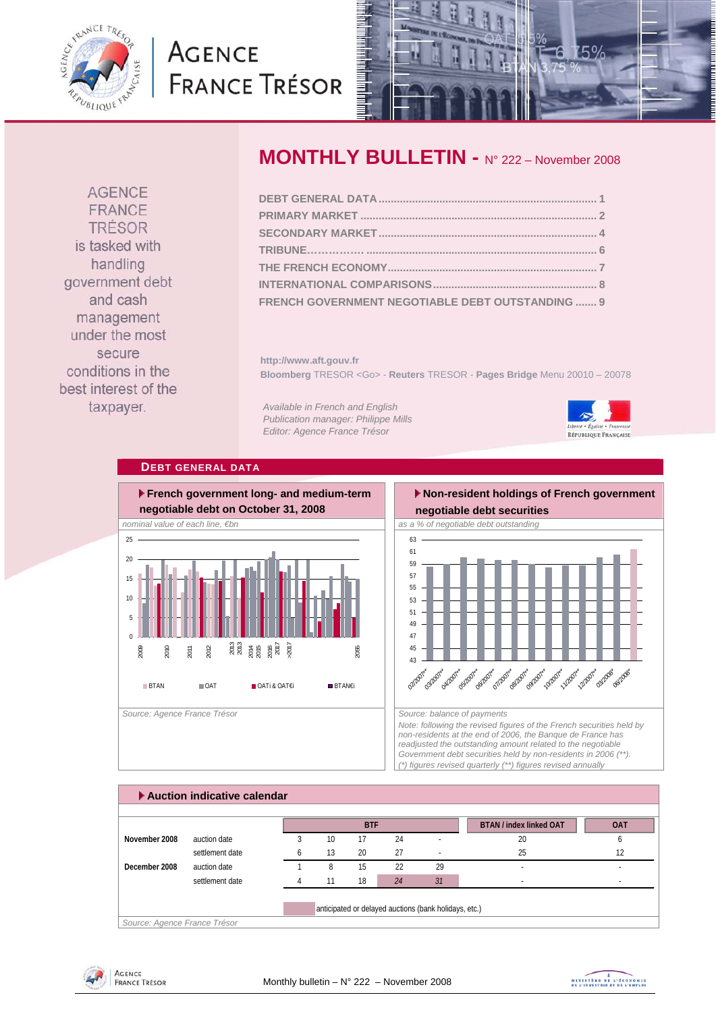<span id="page-0-0"></span>

# **AGENCE FRANCE TRÉSOR**



**AGENCE** FRANCE TRÉSOR is tasked with handling government debt and cash management under the most secure conditions in the best interest of the taxpayer.

# **MONTHLY BULLETIN -** N° 222 – November 2008

| FRENCH GOVERNMENT NEGOTIABLE DEBT OUTSTANDING  9 |  |
|--------------------------------------------------|--|

**http://www.aft.gouv.fr Bloomberg** TRESOR <Go> - **Reuters** TRESOR - **Pages Bridge** Menu 20010 – 20078

*Available in French and English Publication manager: Philippe Mills Editor: Agence France Trésor* 



# **DEBT GENERAL DATA**



# **Non-resident holdings of French government**



*Note: following the revised figures of the French securities held by non-residents at the end of 2006, the Banque de France has readjusted the outstanding amount related to the negotiable Government debt securities held by non-residents in 2006 (\*\*). (\*) figures revised quarterly (\*\*) figures revised annually* 

|               |                 |    | <b>BTF</b> |    |    | <b>BTAN / index linked OAT</b> | <b>OAT</b> |
|---------------|-----------------|----|------------|----|----|--------------------------------|------------|
| November 2008 | auction date    | 10 | 17         | 24 |    | 20                             | h          |
|               | settlement date | 13 | 20         | 27 |    | 25                             | 12         |
| December 2008 | auction date    | 8  | 15         | 22 | 29 |                                |            |
|               | settlement date |    | 18         | 24 | 31 | ۰                              | ۰          |



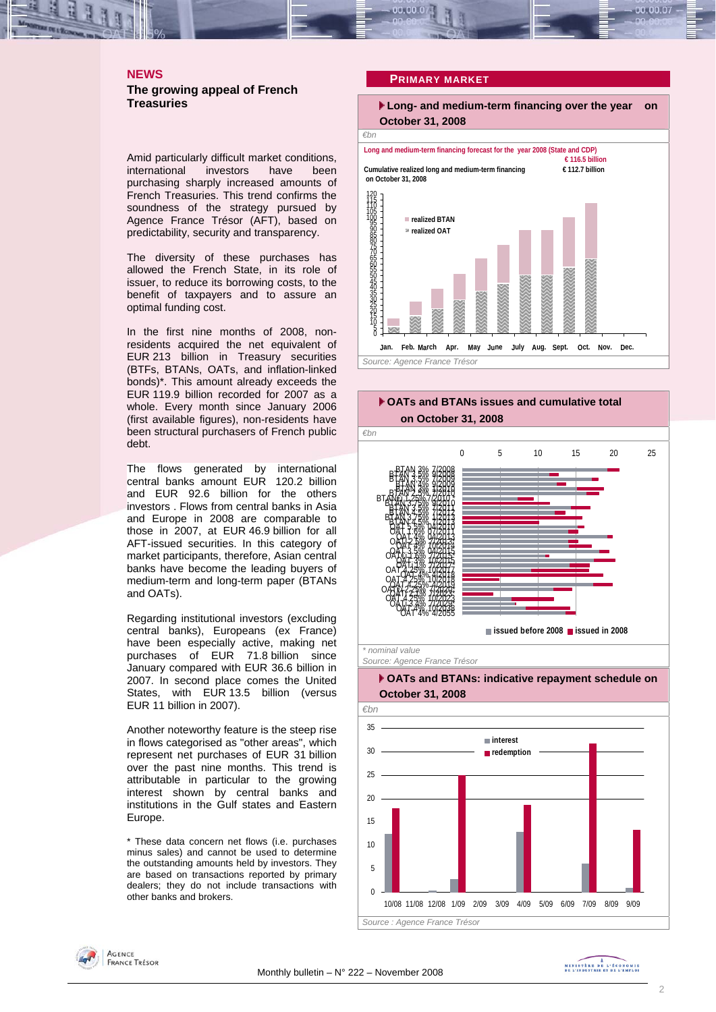## <span id="page-1-0"></span>**NEWS The growing appeal of French Treasuries**

Amid particularly difficult market conditions, international investors have been purchasing sharply increased amounts of French Treasuries. This trend confirms the soundness of the strategy pursued by Agence France Trésor (AFT), based on predictability, security and transparency.

The diversity of these purchases has allowed the French State, in its role of issuer, to reduce its borrowing costs, to the benefit of taxpayers and to assure an optimal funding cost.

In the first nine months of 2008, nonresidents acquired the net equivalent of EUR 213 billion in Treasury securities (BTFs, BTANs, OATs, and inflation-linked bonds)\*. This amount already exceeds the EUR 119.9 billion recorded for 2007 as a whole. Every month since January 2006 (first available figures), non-residents have been structural purchasers of French public debt.

The flows generated by international central banks amount EUR 120.2 billion and EUR 92.6 billion for the others investors . Flows from central banks in Asia and Europe in 2008 are comparable to those in 2007, at EUR 46.9 billion for all AFT-issued securities. In this category of market participants, therefore, Asian central banks have become the leading buyers of medium-term and long-term paper (BTANs and OATs).

Regarding institutional investors (excluding central banks), Europeans (ex France) have been especially active, making net purchases of EUR 71.8 billion since January compared with EUR 36.6 billion in 2007. In second place comes the United States, with EUR 13.5 billion (versus EUR 11 billion in 2007).

Another noteworthy feature is the steep rise in flows categorised as "other areas", which represent net purchases of EUR 31 billion over the past nine months. This trend is attributable in particular to the growing interest shown by central banks and institutions in the Gulf states and Eastern Europe.

\* These data concern net flows (i.e. purchases minus sales) and cannot be used to determine the outstanding amounts held by investors. They are based on transactions reported by primary dealers; they do not include transactions with other banks and brokers.

#### **PRIMARY MARKET**





*Source: Agence France Trésor* 

## **▶ OATs and BTANs: indicative repayment schedule on October 31, 2008**



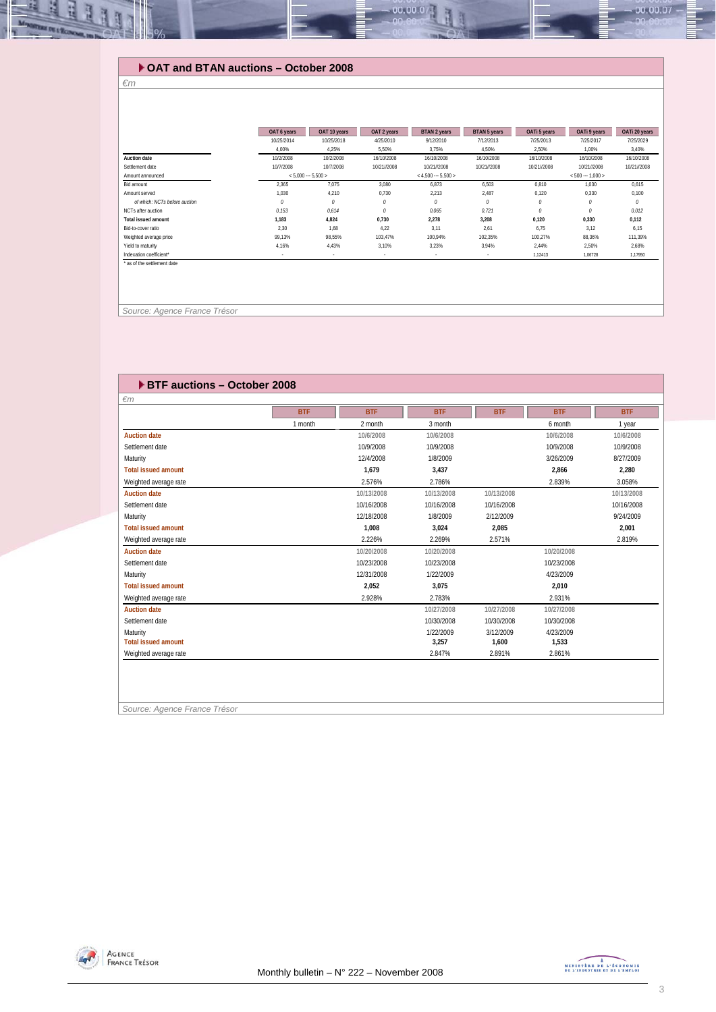## **OAT and BTAN auctions – October 2008**

#### *€m*

Щ E

|                               | OAT 6 years              | OAT 10 years | OAT 2 years              | <b>BTAN 2 years</b>     | <b>BTAN 5 years</b> | OATi 5 years | OATI 9 years      | OATi 20 years |
|-------------------------------|--------------------------|--------------|--------------------------|-------------------------|---------------------|--------------|-------------------|---------------|
|                               | 10/25/2014               | 10/25/2018   | 4/25/2010                | 9/12/2010               | 7/12/2013           | 7/25/2013    | 7/25/2017         | 7/25/2029     |
|                               | 4.00%                    | 4,25%        | 5,50%                    | 3,75%                   | 4,50%               | 2,50%        | 1,00%             | 3,40%         |
| Auction date                  | 10/2/2008                | 10/2/2008    | 16/10/2008               | 16/10/2008              | 16/10/2008          | 16/10/2008   | 16/10/2008        | 16/10/2008    |
| Settlement date               | 10/7/2008                | 10/7/2008    | 10/21//2008              | 10/21//2008             | 10/21//2008         | 10/21//2008  | 10/21//2008       | 10/21//2008   |
| Amount announced              | $< 5,000 - 5,500 >$      |              |                          | $<$ 4.500 $-$ 5.500 $>$ |                     |              | $< 500 - 1.000 >$ |               |
| Bid amount                    | 2,365                    | 7,075        | 3,080                    | 6,873                   | 6,503               | 0,810        | 1,030             | 0,615         |
| Amount served                 | 1.030                    | 4.210        | 0.730                    | 2.213                   | 2.487               | 0,120        | 0.330             | 0,100         |
| of which: NCTs before auction | 0                        | 0            | 0                        | 0                       | 0                   | 0            | 0                 | 0             |
| NCTs after auction            | 0.153                    | 0.614        | 0                        | 0.065                   | 0.721               | 0            | 0                 | 0,012         |
| <b>Total issued amount</b>    | 1,183                    | 4,824        | 0,730                    | 2,278                   | 3.208               | 0,120        | 0,330             | 0,112         |
| Bid-to-cover ratio            | 2.30                     | 1,68         | 4.22                     | 3,11                    | 2.61                | 6,75         | 3,12              | 6,15          |
| Weighted average price        | 99,13%                   | 98,55%       | 103.47%                  | 100.94%                 | 102.35%             | 100,27%      | 88,36%            | 111,39%       |
| Yield to maturity             | 4,16%                    | 4,43%        | 3,10%                    | 3,23%                   | 3,94%               | 2,44%        | 2,50%             | 2,68%         |
| Indexation coefficient*       | $\overline{\phantom{a}}$ | ٠            | $\overline{\phantom{a}}$ | $\sim$                  | ٠                   | 1,12413      | 1,06728           | 1,17950       |
| * as of the settlement date   |                          |              |                          |                         |                     |              |                   |               |
|                               |                          |              |                          |                         |                     |              |                   |               |

00.00.0

 *Source: Agence France Trésor* 

| ▶ BTF auctions - October 2008 |            |            |            |            |            |            |
|-------------------------------|------------|------------|------------|------------|------------|------------|
| $\epsilon$ m                  |            |            |            |            |            |            |
|                               | <b>BTF</b> | <b>BTF</b> | <b>BTF</b> | <b>BTF</b> | <b>BTF</b> | <b>BTF</b> |
|                               | 1 month    | 2 month    | 3 month    |            | 6 month    | 1 year     |
| <b>Auction date</b>           |            | 10/6/2008  | 10/6/2008  |            | 10/6/2008  | 10/6/2008  |
| Settlement date               |            | 10/9/2008  | 10/9/2008  |            | 10/9/2008  | 10/9/2008  |
| Maturity                      |            | 12/4/2008  | 1/8/2009   |            | 3/26/2009  | 8/27/2009  |
| <b>Total issued amount</b>    |            | 1.679      | 3,437      |            | 2,866      | 2,280      |
| Weighted average rate         |            | 2.576%     | 2.786%     |            | 2.839%     | 3.058%     |
| <b>Auction date</b>           |            | 10/13/2008 | 10/13/2008 | 10/13/2008 |            | 10/13/2008 |
| Settlement date               |            | 10/16/2008 | 10/16/2008 | 10/16/2008 |            | 10/16/2008 |
| Maturity                      |            | 12/18/2008 | 1/8/2009   | 2/12/2009  |            | 9/24/2009  |
| <b>Total issued amount</b>    |            | 1,008      | 3,024      | 2,085      |            | 2,001      |
| Weighted average rate         |            | 2.226%     | 2.269%     | 2.571%     |            | 2.819%     |
| <b>Auction date</b>           |            | 10/20/2008 | 10/20/2008 |            | 10/20/2008 |            |
| Settlement date               |            | 10/23/2008 | 10/23/2008 |            | 10/23/2008 |            |
| Maturity                      |            | 12/31/2008 | 1/22/2009  |            | 4/23/2009  |            |
| <b>Total issued amount</b>    |            | 2.052      | 3.075      |            | 2.010      |            |
| Weighted average rate         |            | 2.928%     | 2.783%     |            | 2.931%     |            |
| <b>Auction date</b>           |            |            | 10/27/2008 | 10/27/2008 | 10/27/2008 |            |
| Settlement date               |            |            | 10/30/2008 | 10/30/2008 | 10/30/2008 |            |
| Maturity                      |            |            | 1/22/2009  | 3/12/2009  | 4/23/2009  |            |
| <b>Total issued amount</b>    |            |            | 3,257      | 1,600      | 1,533      |            |
| Weighted average rate         |            |            | 2.847%     | 2.891%     | 2.861%     |            |
|                               |            |            |            |            |            |            |
|                               |            |            |            |            |            |            |
|                               |            |            |            |            |            |            |

*Source: Agence France Trésor* 



 $-00.00.07$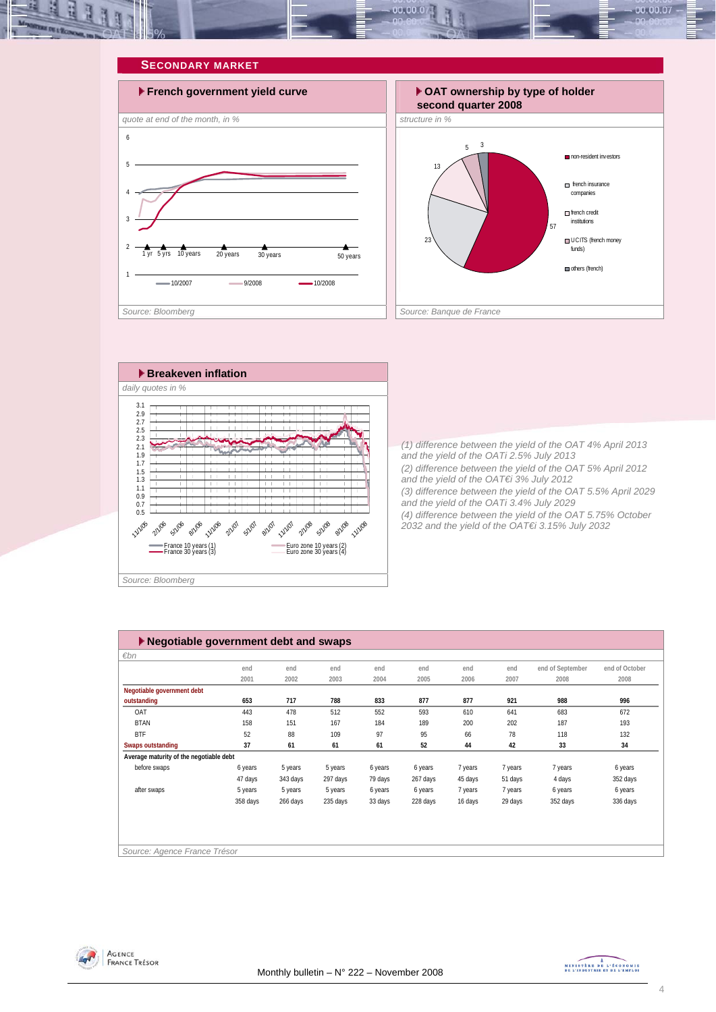<span id="page-3-0"></span>







*(1) difference between the yield of the OAT 4% April 2013 and the yield of the OATi 2.5% July 2013 (2) difference between the yield of the OAT 5% April 2012 and the yield of the OAT€i 3% July 2012 (3) difference between the yield of the OAT 5.5% April 2029 and the yield of the OATi 3.4% July 2029 (4) difference between the yield of the OAT 5.75% October 2032 and the yield of the OAT€i 3.15% July 2032* 

| $\blacktriangleright$ Negotiable government debt and swaps |          |          |          |         |          |         |         |                  |                |  |  |
|------------------------------------------------------------|----------|----------|----------|---------|----------|---------|---------|------------------|----------------|--|--|
| €bn                                                        |          |          |          |         |          |         |         |                  |                |  |  |
|                                                            | end      | end      | end      | end     | end      | end     | end     | end of September | end of October |  |  |
|                                                            | 2001     | 2002     | 2003     | 2004    | 2005     | 2006    | 2007    | 2008             | 2008           |  |  |
| Negotiable government debt                                 |          |          |          |         |          |         |         |                  |                |  |  |
| outstanding                                                | 653      | 717      | 788      | 833     | 877      | 877     | 921     | 988              | 996            |  |  |
| OAT                                                        | 443      | 478      | 512      | 552     | 593      | 610     | 641     | 683              | 672            |  |  |
| <b>BTAN</b>                                                | 158      | 151      | 167      | 184     | 189      | 200     | 202     | 187              | 193            |  |  |
| <b>BTF</b>                                                 | 52       | 88       | 109      | 97      | 95       | 66      | 78      | 118              | 132            |  |  |
| <b>Swaps outstanding</b>                                   | 37       | 61       | 61       | 61      | 52       | 44      | 42      | 33               | 34             |  |  |
| Average maturity of the negotiable debt                    |          |          |          |         |          |         |         |                  |                |  |  |
| before swaps                                               | 6 years  | 5 years  | 5 years  | 6 years | 6 years  | 7 years | 7 years | 7 years          | 6 years        |  |  |
|                                                            | 47 days  | 343 days | 297 days | 79 days | 267 days | 45 days | 51 days | 4 days           | 352 days       |  |  |
| after swaps                                                | 5 years  | 5 years  | 5 years  | 6 years | 6 years  | 7 years | 7 years | 6 years          | 6 years        |  |  |
|                                                            | 358 days | 266 days | 235 days | 33 days | 228 days | 16 days | 29 days | 352 days         | 336 days       |  |  |
|                                                            |          |          |          |         |          |         |         |                  |                |  |  |
|                                                            |          |          |          |         |          |         |         |                  |                |  |  |
|                                                            |          |          |          |         |          |         |         |                  |                |  |  |
| Source: Agence France Trésor                               |          |          |          |         |          |         |         |                  |                |  |  |



MINISTÈRE DE L'ÉCONOMIE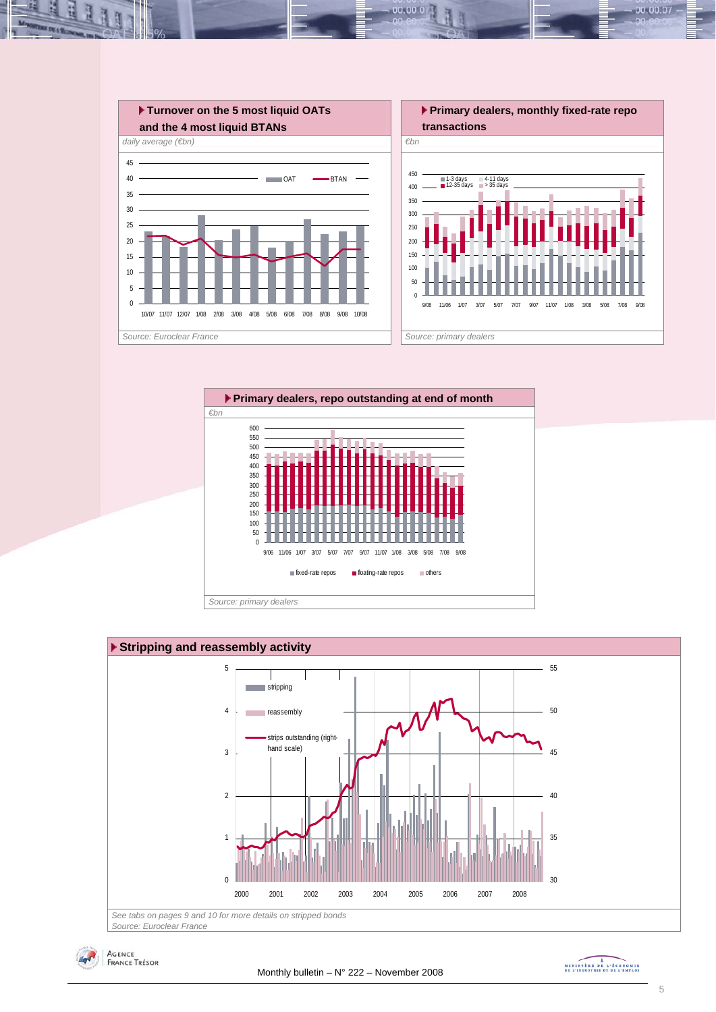

 $00.00.0$ 







MINISTÈRE DE L'ÉCONOMIE

00.00.07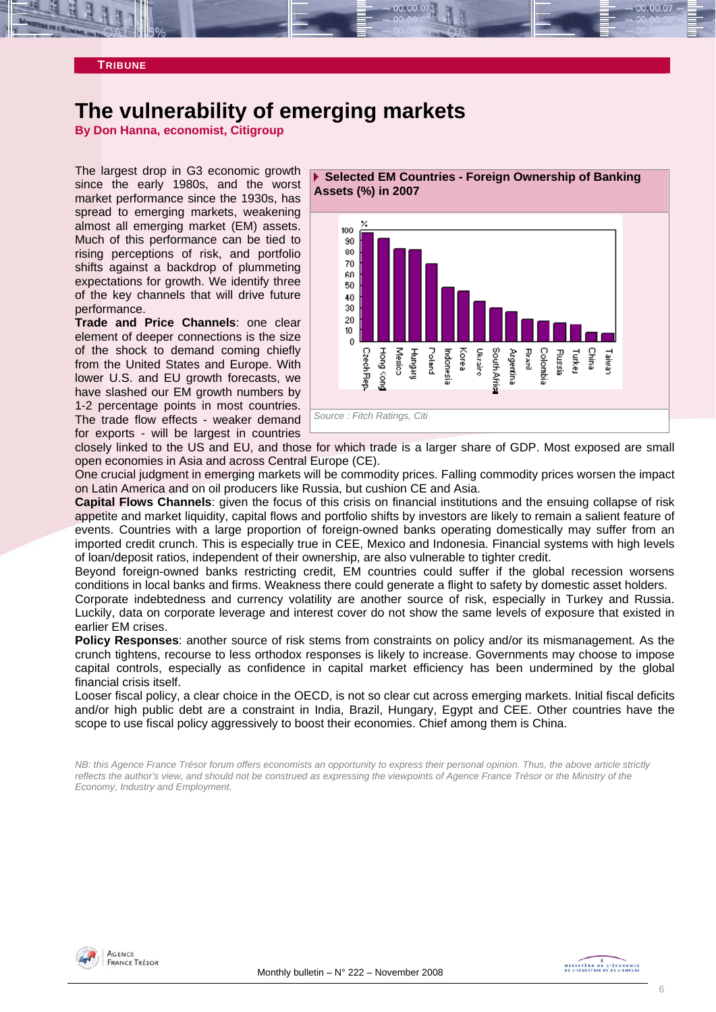<span id="page-5-0"></span>

# **The vulnerability of emerging markets**

**By Don Hanna, economist, Citigroup** 

The largest drop in G3 economic growth since the early 1980s, and the worst market performance since the 1930s, has spread to emerging markets, weakening almost all emerging market (EM) assets. Much of this performance can be tied to rising perceptions of risk, and portfolio shifts against a backdrop of plummeting expectations for growth. We identify three of the key channels that will drive future performance.

**Trade and Price Channels**: one clear element of deeper connections is the size of the shock to demand coming chiefly from the United States and Europe. With lower U.S. and EU growth forecasts, we have slashed our EM growth numbers by 1-2 percentage points in most countries. The trade flow effects - weaker demand for exports - will be largest in countries





closely linked to the US and EU, and those for which trade is a larger share of GDP. Most exposed are small open economies in Asia and across Central Europe (CE).

One crucial judgment in emerging markets will be commodity prices. Falling commodity prices worsen the impact on Latin America and on oil producers like Russia, but cushion CE and Asia.

**Capital Flows Channels**: given the focus of this crisis on financial institutions and the ensuing collapse of risk appetite and market liquidity, capital flows and portfolio shifts by investors are likely to remain a salient feature of events. Countries with a large proportion of foreign-owned banks operating domestically may suffer from an imported credit crunch. This is especially true in CEE, Mexico and Indonesia. Financial systems with high levels of loan/deposit ratios, independent of their ownership, are also vulnerable to tighter credit.

Beyond foreign-owned banks restricting credit, EM countries could suffer if the global recession worsens conditions in local banks and firms. Weakness there could generate a flight to safety by domestic asset holders.

Corporate indebtedness and currency volatility are another source of risk, especially in Turkey and Russia. Luckily, data on corporate leverage and interest cover do not show the same levels of exposure that existed in earlier EM crises.

**Policy Responses**: another source of risk stems from constraints on policy and/or its mismanagement. As the crunch tightens, recourse to less orthodox responses is likely to increase. Governments may choose to impose capital controls, especially as confidence in capital market efficiency has been undermined by the global financial crisis itself.

Looser fiscal policy, a clear choice in the OECD, is not so clear cut across emerging markets. Initial fiscal deficits and/or high public debt are a constraint in India, Brazil, Hungary, Egypt and CEE. Other countries have the scope to use fiscal policy aggressively to boost their economies. Chief among them is China.

*NB: this Agence France Trésor forum offers economists an opportunity to express their personal opinion. Thus, the above article strictly reflects the author's view, and should not be construed as expressing the viewpoints of Agence France Trésor or the Ministry of the Economy, Industry and Employment.* 



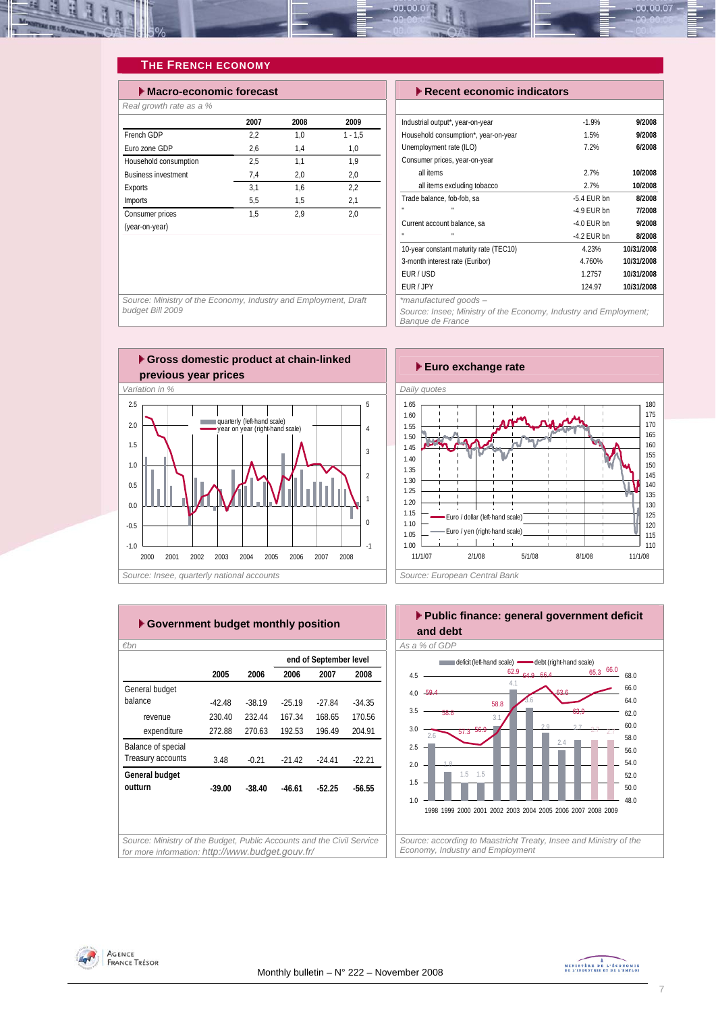<span id="page-6-0"></span>

## **THE FRENCH ECONOMY**

| $\blacktriangleright$ Macro-economic forecast |      |      |           |  |  |  |  |  |  |  |
|-----------------------------------------------|------|------|-----------|--|--|--|--|--|--|--|
| Real growth rate as a %                       |      |      |           |  |  |  |  |  |  |  |
|                                               | 2007 | 2008 | 2009      |  |  |  |  |  |  |  |
| French GDP                                    | 2.2  | 1.0  | $1 - 1.5$ |  |  |  |  |  |  |  |
| Furo zone GDP                                 | 2.6  | 1.4  | 1.0       |  |  |  |  |  |  |  |
| Household consumption                         | 2,5  | 1,1  | 1.9       |  |  |  |  |  |  |  |
| <b>Business investment</b>                    | 7.4  | 2,0  | 2,0       |  |  |  |  |  |  |  |
| Exports                                       | 3.1  | 1.6  | 2,2       |  |  |  |  |  |  |  |
| Imports                                       | 5,5  | 1.5  | 2,1       |  |  |  |  |  |  |  |
| Consumer prices                               | 1.5  | 2.9  | 2.0       |  |  |  |  |  |  |  |
| (year-on-year)                                |      |      |           |  |  |  |  |  |  |  |

#### **Execent economic indicators**

| Industrial output*, year-on-year       | $-1.9%$       | 9/2008     |
|----------------------------------------|---------------|------------|
| Household consumption*, year-on-year   | 1.5%          | 9/2008     |
| Unemployment rate (ILO)                | 7.2%          | 6/2008     |
| Consumer prices, year-on-year          |               |            |
| all items                              | 2.7%          | 10/2008    |
| all items excluding tobacco            | 2.7%          | 10/2008    |
| Trade balance, fob-fob, sa             | $-5.4$ EUR bn | 8/2008     |
| п<br>$\mathbf{u}$                      | $-4.9$ FUR bn | 7/2008     |
| Current account balance, sa            | $-4.0$ FUR bn | 9/2008     |
| п<br>n,                                | $-4.2$ FUR bn | 8/2008     |
| 10-year constant maturity rate (TEC10) | 4.23%         | 10/31/2008 |
| 3-month interest rate (Euribor)        | 4.760%        | 10/31/2008 |
| FUR / USD                              | 1.2757        | 10/31/2008 |
| EUR / JPY                              | 124.97        | 10/31/2008 |
| $*moment$                              |               |            |

*\*manufactured goods –* 

*Source: Insee; Ministry of the Economy, Industry and Employment; Banque de France* 

*Source: Ministry of the Economy, Industry and Employment, Draft budget Bill 2009* 





|                    |          |          |          | end of September level |          |
|--------------------|----------|----------|----------|------------------------|----------|
|                    | 2005     | 2006     | 2006     | 2007                   | 2008     |
| General budget     |          |          |          |                        |          |
| balance            | -42.48   | $-38.19$ | $-25.19$ | $-27.84$               | $-34.35$ |
| revenue            | 230.40   | 232.44   | 167.34   | 168.65                 | 170.56   |
| expenditure        | 272.88   | 270.63   | 192.53   | 196.49                 | 204.91   |
| Balance of special |          |          |          |                        |          |
| Treasury accounts  | 3.48     | $-0.21$  | $-21.42$ | $-24.41$               | $-22.21$ |
| General budget     |          |          |          |                        |          |
| outturn            | $-39.00$ | $-38.40$ | $-46.61$ | $-52.25$               | $-56.55$ |
|                    |          |          |          |                        |          |
|                    |          |          |          |                        |          |



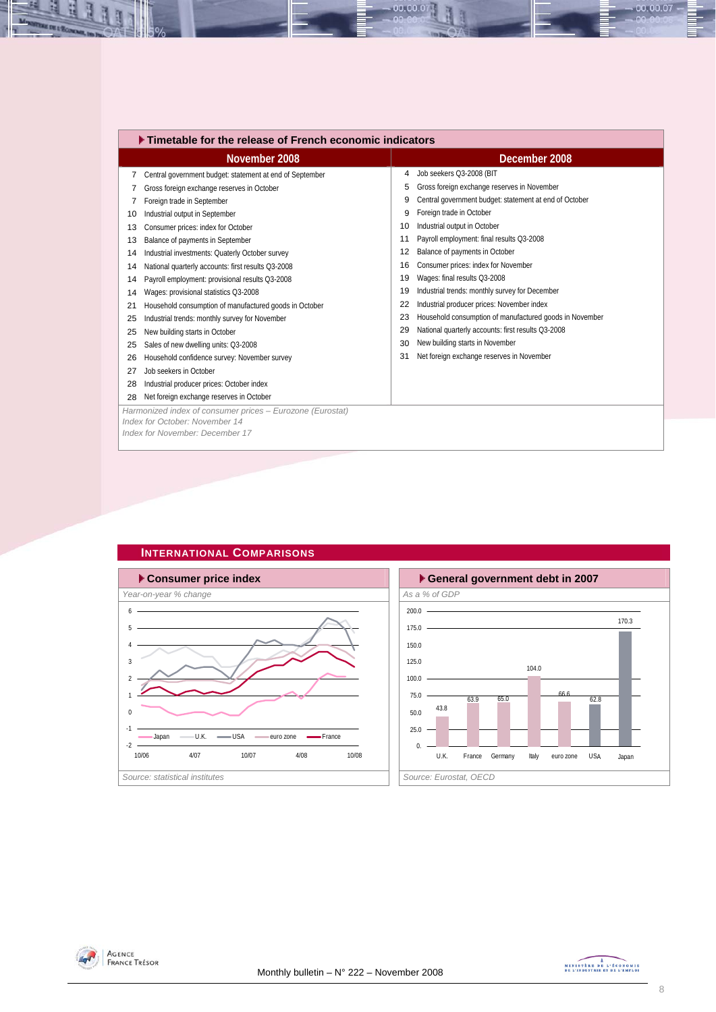<span id="page-7-0"></span>

|    | ▶ Timetable for the release of French economic indicators                                                                      |    |                                                         |  |  |  |  |  |  |  |
|----|--------------------------------------------------------------------------------------------------------------------------------|----|---------------------------------------------------------|--|--|--|--|--|--|--|
|    | November 2008                                                                                                                  |    | December 2008                                           |  |  |  |  |  |  |  |
| 7  | Central government budget: statement at end of September                                                                       | 4  | Job seekers Q3-2008 (BIT                                |  |  |  |  |  |  |  |
|    | Gross foreign exchange reserves in October                                                                                     | 5  | Gross foreign exchange reserves in November             |  |  |  |  |  |  |  |
|    | Foreign trade in September                                                                                                     | 9  | Central government budget: statement at end of October  |  |  |  |  |  |  |  |
| 10 | Industrial output in September                                                                                                 | 9  | Foreign trade in October                                |  |  |  |  |  |  |  |
| 13 | Consumer prices: index for October                                                                                             | 10 | Industrial output in October                            |  |  |  |  |  |  |  |
| 13 | Balance of payments in September                                                                                               | 11 | Payroll employment: final results Q3-2008               |  |  |  |  |  |  |  |
| 14 | Industrial investments: Quaterly October survey                                                                                | 12 | Balance of payments in October                          |  |  |  |  |  |  |  |
| 14 | National quarterly accounts: first results Q3-2008                                                                             | 16 | Consumer prices: index for November                     |  |  |  |  |  |  |  |
| 14 | Payroll employment: provisional results Q3-2008                                                                                | 19 | Wages: final results Q3-2008                            |  |  |  |  |  |  |  |
| 14 | Wages: provisional statistics Q3-2008                                                                                          | 19 | Industrial trends: monthly survey for December          |  |  |  |  |  |  |  |
| 21 | Household consumption of manufactured goods in October                                                                         | 22 | Industrial producer prices: November index              |  |  |  |  |  |  |  |
| 25 | Industrial trends: monthly survey for November                                                                                 | 23 | Household consumption of manufactured goods in November |  |  |  |  |  |  |  |
| 25 | New building starts in October                                                                                                 | 29 | National quarterly accounts: first results Q3-2008      |  |  |  |  |  |  |  |
| 25 | Sales of new dwelling units: Q3-2008                                                                                           | 30 | New building starts in November                         |  |  |  |  |  |  |  |
| 26 | Household confidence survey: November survey                                                                                   | 31 | Net foreign exchange reserves in November               |  |  |  |  |  |  |  |
| 27 | Job seekers in October                                                                                                         |    |                                                         |  |  |  |  |  |  |  |
| 28 | Industrial producer prices: October index                                                                                      |    |                                                         |  |  |  |  |  |  |  |
| 28 | Net foreign exchange reserves in October                                                                                       |    |                                                         |  |  |  |  |  |  |  |
|    | Harmonized index of consumer prices - Eurozone (Eurostat)<br>Index for October: November 14<br>Index for November: December 17 |    |                                                         |  |  |  |  |  |  |  |

00.00.0



# **INTERNATIONAL COMPARISONS**





 $-00.00.07$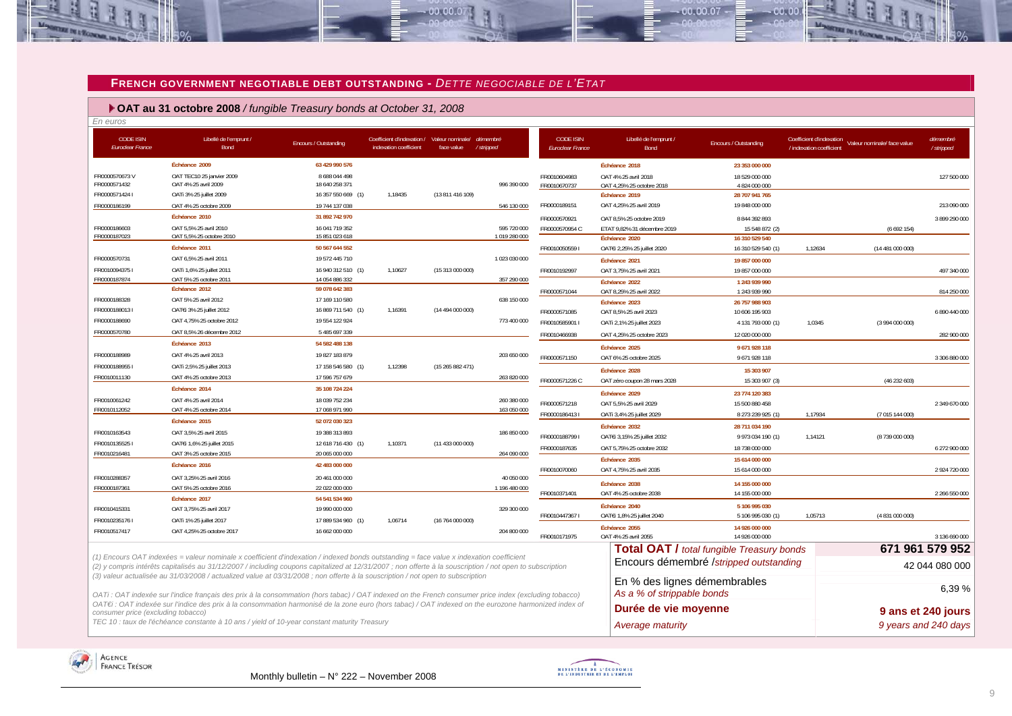#### **FRENCH GOVERNMENT NEGOTIABLE DEBT OUTSTANDING -** *DETTE NEGOCIABLE DE L'ETAT*

 $-00,00,00$ 

 **OAT au 31 octobre 2008** */ fungible Treasury bonds at October 31, 2008*

| <b>CODE ISIN</b><br><b>Euroclear France</b> | Libellé de l'emprunt /<br>Bond                                                                                                                                                                                                                                                                      | Encours / Outstanding            | Coefficient d'indexation / Valeur nominale/<br>indexation coefficient | face value       | démembré<br>/ stripped      | <b>CODE ISIN</b><br>Euroclear France | Libellé de l'emprunt /<br>Bond                             | Encours / Outstanding                            | Coefficient d'indexation<br>Valeur nominale/ face value<br>/ indexation coefficient | démembré<br>/ stripped |
|---------------------------------------------|-----------------------------------------------------------------------------------------------------------------------------------------------------------------------------------------------------------------------------------------------------------------------------------------------------|----------------------------------|-----------------------------------------------------------------------|------------------|-----------------------------|--------------------------------------|------------------------------------------------------------|--------------------------------------------------|-------------------------------------------------------------------------------------|------------------------|
|                                             | Échéance 2009                                                                                                                                                                                                                                                                                       | 63 429 990 576                   |                                                                       |                  |                             |                                      | Échéance 2018                                              | 23 353 000 000                                   |                                                                                     |                        |
| FR0000570673V                               | OAT TEC10 25 janvier 2009                                                                                                                                                                                                                                                                           | 8 6 8 0 4 4 4 9 8                |                                                                       |                  |                             | FR0010604983                         | OAT 4% 25 avril 2018                                       | 18 529 000 000                                   |                                                                                     | 127 500 000            |
| FR0000571432                                | OAT 4% 25 avril 2009                                                                                                                                                                                                                                                                                | 18 640 258 371                   |                                                                       |                  | 996 390 000                 | FR0010670737                         | OAT 4,25% 25 octobre 2018                                  | 4 824 000 000                                    |                                                                                     |                        |
| FR0000571424 I                              | OATi 3% 25 juillet 2009                                                                                                                                                                                                                                                                             | 16 357 550 669 (1)               | 1,18435                                                               | (13811416109)    |                             |                                      | Échéance 2019                                              | 28 707 941 765                                   |                                                                                     |                        |
| FR0000186199                                | OAT 4% 25 octobre 2009<br>Échéance 2010                                                                                                                                                                                                                                                             | 19 744 137 038                   |                                                                       |                  | 546 130 000                 | FR0000189151                         | OAT 4,25% 25 avril 2019                                    | 19 848 000 000                                   |                                                                                     | 213 090 000            |
|                                             |                                                                                                                                                                                                                                                                                                     | 31 892 742 970                   |                                                                       |                  |                             | FR0000570921                         | OAT 8,5% 25 octobre 2019                                   | 8 844 392 893                                    |                                                                                     | 3 899 290 000          |
| FR0000186603<br>FR0000187023                | OAT 5,5% 25 avril 2010<br>OAT 5,5% 25 octobre 2010                                                                                                                                                                                                                                                  | 16 041 719 352<br>15 851 023 618 |                                                                       |                  | 595 720 000<br>1019 280 000 | FR0000570954 C                       | ETAT 9,82% 31 décembre 2019<br>Échéance 2020               | 15 548 872 (2)<br>16 310 529 540                 | (6692154)                                                                           |                        |
|                                             | Échéance 2011                                                                                                                                                                                                                                                                                       | 50 567 644 552                   |                                                                       |                  |                             | FR00100505591                        | OATEi 2,25% 25 juillet 2020                                | 16 310 529 540 (1)                               | 1,12634<br>(14481000000)                                                            |                        |
| FR0000570731                                | OAT 6.5% 25 avril 2011                                                                                                                                                                                                                                                                              | 19572 445 710                    |                                                                       |                  | 1 023 030 000               |                                      | Échéance 2021                                              | 19 857 000 000                                   |                                                                                     |                        |
| FR00100943751                               | OATi 1,6% 25 juillet 2011                                                                                                                                                                                                                                                                           | 16 940 312 510 (1)               | 1,10627                                                               | (15 313 000 000) |                             | FR0010192997                         | OAT 3,75% 25 avril 2021                                    | 19 857 000 000                                   |                                                                                     | 497 340 000            |
| FR0000187874                                | OAT 5% 25 octobre 2011                                                                                                                                                                                                                                                                              | 14 054 886 332                   |                                                                       |                  | 357 290 000                 |                                      | Échéance 2022                                              | 1 243 939 990                                    |                                                                                     |                        |
|                                             | Échéance 2012                                                                                                                                                                                                                                                                                       | 59 078 642 383                   |                                                                       |                  |                             | FR0000571044                         | OAT 8,25% 25 avril 2022                                    | 1 243 939 990                                    |                                                                                     | 814 250 000            |
| FR0000188328                                | OAT 5% 25 avril 2012                                                                                                                                                                                                                                                                                | 17 169 110 580                   |                                                                       |                  | 638 150 000                 |                                      | Échéance 2023                                              | 26 757 988 903                                   |                                                                                     |                        |
| FR00001880131                               | OATEi 3% 25 juillet 2012                                                                                                                                                                                                                                                                            | 16 869 711 540 (1)               | 1,16391                                                               | (14494000000)    |                             | FR0000571085                         | OAT 8,5% 25 avril 2023                                     | 10 606 195 903                                   |                                                                                     | 6 890 440 000          |
| FR0000188690                                | OAT 4,75% 25 octobre 2012                                                                                                                                                                                                                                                                           | 19 554 122 924                   |                                                                       |                  | 773 400 000                 | FR0010585901 I                       | OATi 2,1% 25 juillet 2023                                  | 4 131 793 000 (1)                                | 1.0345<br>(3994000000)                                                              |                        |
| FR0000570780                                | OAT 8.5% 26 décembre 2012                                                                                                                                                                                                                                                                           | 5 485 697 339                    |                                                                       |                  |                             | FR0010466938                         | OAT 4,25% 25 octobre 2023                                  | 12 020 000 000                                   |                                                                                     | 282 900 000            |
|                                             | Échéance 2013                                                                                                                                                                                                                                                                                       | 54 582 488 138                   |                                                                       |                  |                             |                                      | Échéance 2025                                              | 9671928118                                       |                                                                                     |                        |
| FR0000188989                                | OAT 4% 25 avril 2013                                                                                                                                                                                                                                                                                | 19 827 183 879                   |                                                                       |                  | 203 650 000                 | FR0000571150                         | OAT 6% 25 octobre 2025                                     | 9671928118                                       |                                                                                     | 3 306 880 000          |
| FR00001889551                               | OATi 2,5% 25 juillet 2013                                                                                                                                                                                                                                                                           | 17 158 546 580 (1)               | 1,12398                                                               | (15265882471)    |                             |                                      | Échéance 2028                                              | 15 303 907                                       |                                                                                     |                        |
| FR0010011130                                | OAT 4% 25 octobre 2013                                                                                                                                                                                                                                                                              | 17 596 757 679                   |                                                                       |                  | 263 820 000                 | FR0000571226 C                       | OAT zéro coupon 28 mars 2028                               | 15 303 907 (3)                                   | (46232603)                                                                          |                        |
|                                             | Échéance 2014                                                                                                                                                                                                                                                                                       | 35 108 724 224                   |                                                                       |                  |                             |                                      | Échéance 2029                                              | 23 774 120 383                                   |                                                                                     |                        |
| FR0010061242                                | OAT 4% 25 avril 2014                                                                                                                                                                                                                                                                                | 18 039 752 234                   |                                                                       |                  | 260 380 000                 | FR0000571218                         | OAT 5,5% 25 avril 2029                                     | 15 500 880 458                                   |                                                                                     | 2 349 670 000          |
| FR0010112052                                | OAT 4% 25 octobre 2014                                                                                                                                                                                                                                                                              | 17 068 971 990                   |                                                                       |                  | 163 050 000                 | FR00001864131                        | OATi 3,4% 25 juillet 2029                                  | 8 273 239 925 (1)                                | 1,17934<br>(7 015 144 000)                                                          |                        |
|                                             | Échéance 2015                                                                                                                                                                                                                                                                                       | 52 072 030 323                   |                                                                       |                  |                             |                                      | Échéance 2032                                              | 28 711 034 190                                   |                                                                                     |                        |
| FR0010163543                                | OAT 3.5% 25 avril 2015                                                                                                                                                                                                                                                                              | 19 388 313 893                   |                                                                       |                  | 186 850 000                 | FR00001887991                        | OATEi 3,15% 25 juillet 2032                                | 9 973 034 190 (1)                                | 1,14121<br>(8739 000 000)                                                           |                        |
| FR00101355251                               | OATEi 1,6% 25 juillet 2015                                                                                                                                                                                                                                                                          | 12 618 716 430 (1)               | 1,10371                                                               | (11 433 000 000) |                             | FR0000187635                         | OAT 5.75% 25 octobre 2032                                  | 18 738 000 000                                   |                                                                                     | 6 272 900 000          |
| FR0010216481                                | OAT 3% 25 octobre 2015                                                                                                                                                                                                                                                                              | 20 065 000 000                   |                                                                       |                  | 264 090 000                 |                                      | Échéance 2035                                              | 15 614 000 000                                   |                                                                                     |                        |
|                                             | Échéance 2016                                                                                                                                                                                                                                                                                       | 42 483 000 000                   |                                                                       |                  |                             | FR0010070060                         | OAT 4,75% 25 avril 2035                                    | 15 614 000 000                                   |                                                                                     | 2 924 720 000          |
| FR0010288357                                | OAT 3,25% 25 avril 2016                                                                                                                                                                                                                                                                             | 20 461 000 000                   |                                                                       |                  | 40 050 000                  |                                      | Échéance 2038                                              | 14 155 000 000                                   |                                                                                     |                        |
| FR0000187361                                | OAT 5% 25 octobre 2016                                                                                                                                                                                                                                                                              | 22 022 000 000                   |                                                                       |                  | 1 196 480 000               | FR0010371401                         | OAT 4% 25 octobre 2038                                     | 14 155 000 000                                   |                                                                                     | 2 266 550 000          |
|                                             | Échéance 2017                                                                                                                                                                                                                                                                                       | 54 541 534 960                   |                                                                       |                  |                             |                                      | Échéance 2040                                              | 5 106 995 030                                    |                                                                                     |                        |
| FR0010415331                                | OAT 3,75% 25 avril 2017                                                                                                                                                                                                                                                                             | 19 990 000 000                   |                                                                       |                  | 329 300 000                 | FR00104473671                        | OATEi 1,8% 25 juillet 2040                                 | 5 106 995 030 (1)                                | 1,05713<br>(4 831 000 000)                                                          |                        |
| FR0010235176 I                              | OATi 1% 25 juillet 2017                                                                                                                                                                                                                                                                             | 17 889 534 960 (1)               | 1,06714                                                               | (16764000000)    |                             |                                      | Échéance 2055                                              | 14 926 000 000                                   |                                                                                     |                        |
| FR0010517417                                | OAT 4,25% 25 octobre 2017                                                                                                                                                                                                                                                                           | 16 662 000 000                   |                                                                       |                  | 204 800 000                 | FR0010171975                         | OAT 4% 25 avril 2055                                       | 14 926 000 000                                   |                                                                                     | 3 136 690 000          |
|                                             |                                                                                                                                                                                                                                                                                                     |                                  |                                                                       |                  |                             |                                      |                                                            | <b>Total OAT / total fungible Treasury bonds</b> |                                                                                     | 671 961 579 952        |
|                                             | (1) Encours OAT indexées = valeur nominale x coefficient d'indexation / indexed bonds outstanding = face value x indexation coefficient<br>(2) y compris intérêts capitalisés au 31/12/2007 / including coupons capitalized at 12/31/2007; non offerte à la souscription / not open to subscription |                                  |                                                                       |                  |                             |                                      |                                                            | Encours démembré /stripped outstanding           |                                                                                     | 42 044 080 000         |
|                                             | (3) valeur actualisée au 31/03/2008 / actualized value at 03/31/2008 ; non offerte à la souscription / not open to subscription<br>OATi: OAT indexée sur l'indice français des prix à la consommation (hors tabac) / OAT indexed on the French consumer price index (excluding tobacco)             |                                  |                                                                       |                  |                             |                                      | En % des lignes démembrables<br>As a % of strippable bonds |                                                  |                                                                                     | 6.39%                  |
| consumer price (excluding tobacco)          | OAT€i : OAT indexée sur l'indice des prix à la consommation harmonisé de la zone euro (hors tabac) / OAT indexed on the eurozone harmonized index of                                                                                                                                                |                                  |                                                                       |                  |                             |                                      | Durée de vie moyenne                                       |                                                  |                                                                                     | 9 ans et 240 jours     |
|                                             | TEC 10 : taux de l'échéance constante à 10 ans / yield of 10-year constant maturity Treasury                                                                                                                                                                                                        |                                  |                                                                       |                  |                             |                                      | Average maturity                                           |                                                  |                                                                                     | 9 years and 240 days   |

<span id="page-8-0"></span>



 $00007$ 

 $00.00$